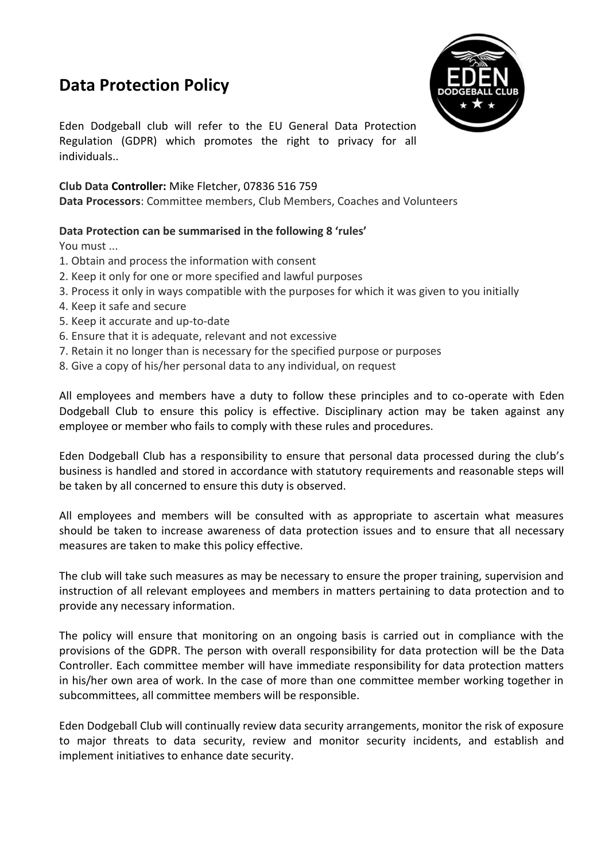## **Data Protection Policy**



Eden Dodgeball club will refer to the EU General Data Protection Regulation (GDPR) which promotes the right to privacy for all individuals..

## **Club Data Controller:** Mike Fletcher, 07836 516 759

**Data Processors**: Committee members, Club Members, Coaches and Volunteers

## **Data Protection can be summarised in the following 8 'rules'**

You must ...

- 1. Obtain and process the information with consent
- 2. Keep it only for one or more specified and lawful purposes
- 3. Process it only in ways compatible with the purposes for which it was given to you initially
- 4. Keep it safe and secure
- 5. Keep it accurate and up-to-date
- 6. Ensure that it is adequate, relevant and not excessive
- 7. Retain it no longer than is necessary for the specified purpose or purposes
- 8. Give a copy of his/her personal data to any individual, on request

All employees and members have a duty to follow these principles and to co-operate with Eden Dodgeball Club to ensure this policy is effective. Disciplinary action may be taken against any employee or member who fails to comply with these rules and procedures.

Eden Dodgeball Club has a responsibility to ensure that personal data processed during the club's business is handled and stored in accordance with statutory requirements and reasonable steps will be taken by all concerned to ensure this duty is observed.

All employees and members will be consulted with as appropriate to ascertain what measures should be taken to increase awareness of data protection issues and to ensure that all necessary measures are taken to make this policy effective.

The club will take such measures as may be necessary to ensure the proper training, supervision and instruction of all relevant employees and members in matters pertaining to data protection and to provide any necessary information.

The policy will ensure that monitoring on an ongoing basis is carried out in compliance with the provisions of the GDPR. The person with overall responsibility for data protection will be the Data Controller. Each committee member will have immediate responsibility for data protection matters in his/her own area of work. In the case of more than one committee member working together in subcommittees, all committee members will be responsible.

Eden Dodgeball Club will continually review data security arrangements, monitor the risk of exposure to major threats to data security, review and monitor security incidents, and establish and implement initiatives to enhance date security.